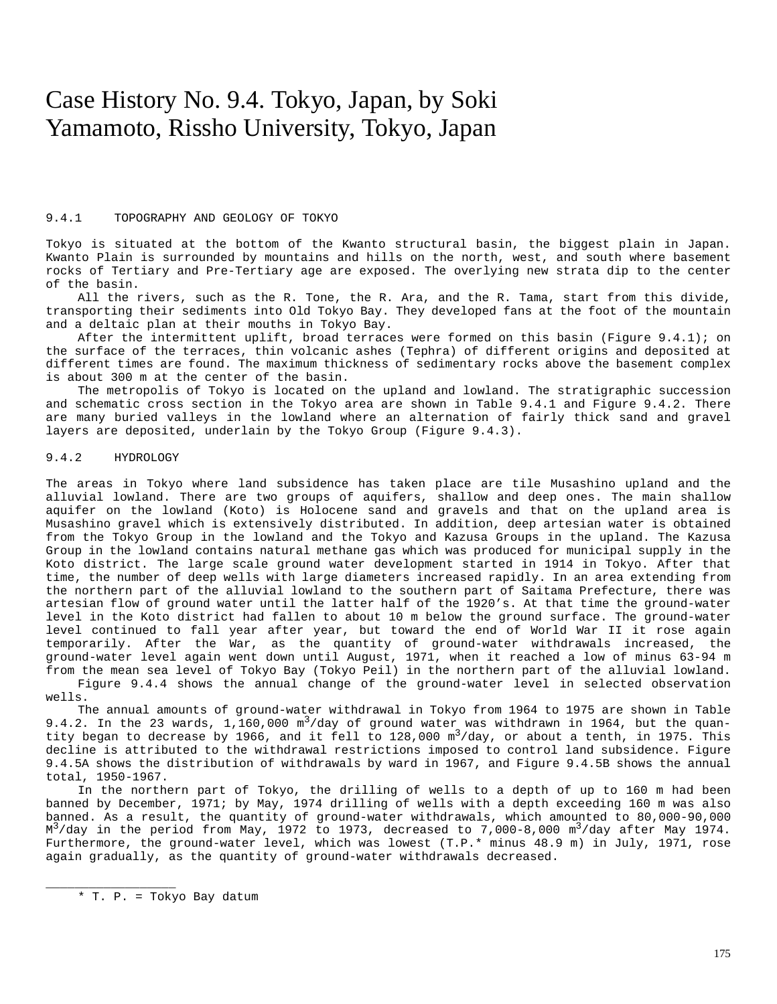# Case History No. 9.4. Tokyo, Japan, by Soki Yamamoto, Rissho University, Tokyo, Japan

### 9.4.1 TOPOGRAPHY AND GEOLOGY OF TOKYO

Tokyo is situated at the bottom of the Kwanto structural basin, the biggest plain in Japan. Kwanto Plain is surrounded by mountains and hills on the north, west, and south where basement rocks of Tertiary and Pre-Tertiary age are exposed. The overlying new strata dip to the center of the basin.

All the rivers, such as the R. Tone, the R. Ara, and the R. Tama, start from this divide, transporting their sediments into Old Tokyo Bay. They developed fans at the foot of the mountain and a deltaic plan at their mouths in Tokyo Bay.

After the intermittent uplift, broad terraces were formed on this basin (Figure 9.4.1); on the surface of the terraces, thin volcanic ashes (Tephra) of different origins and deposited at different times are found. The maximum thickness of sedimentary rocks above the basement complex is about 300 m at the center of the basin.

The metropolis of Tokyo is located on the upland and lowland. The stratigraphic succession and schematic cross section in the Tokyo area are shown in Table 9.4.1 and Figure 9.4.2. There are many buried valleys in the lowland where an alternation of fairly thick sand and gravel layers are deposited, underlain by the Tokyo Group (Figure 9.4.3).

## 9.4.2 HYDROLOGY

The areas in Tokyo where land subsidence has taken place are tile Musashino upland and the alluvial lowland. There are two groups of aquifers, shallow and deep ones. The main shallow aquifer on the lowland (Koto) is Holocene sand and gravels and that on the upland area is Musashino gravel which is extensively distributed. In addition, deep artesian water is obtained from the Tokyo Group in the lowland and the Tokyo and Kazusa Groups in the upland. The Kazusa Group in the lowland contains natural methane gas which was produced for municipal supply in the Koto district. The large scale ground water development started in 1914 in Tokyo. After that time, the number of deep wells with large diameters increased rapidly. In an area extending from the northern part of the alluvial lowland to the southern part of Saitama Prefecture, there was artesian flow of ground water until the latter half of the 1920's. At that time the ground-water level in the Koto district had fallen to about 10 m below the ground surface. The ground-water level continued to fall year after year, but toward the end of World War II it rose again temporarily. After the War, as the quantity of ground-water withdrawals increased, the ground-water level again went down until August, 1971, when it reached a low of minus 63-94 m from the mean sea level of Tokyo Bay (Tokyo Peil) in the northern part of the alluvial lowland.

Figure 9.4.4 shows the annual change of the ground-water level in selected observation wells.

The annual amounts of ground-water withdrawal in Tokyo from 1964 to 1975 are shown in Table 9.4.2. In the 23 wards,  $1,160,000 \text{ m}^3/\text{day}$  of ground water was withdrawn in 1964, but the quantity began to decrease by 1966, and it fell to 128,000  $m^3$ /day, or about a tenth, in 1975. This decline is attributed to the withdrawal restrictions imposed to control land subsidence. Figure 9.4.5A shows the distribution of withdrawals by ward in 1967, and Figure 9.4.5B shows the annual total, 1950-1967.

In the northern part of Tokyo, the drilling of wells to a depth of up to 160 m had been banned by December, 1971; by May, 1974 drilling of wells with a depth exceeding 160 m was also banned. As a result, the quantity of ground-water withdrawals, which amounted to 80,000-90,000  $M^3$ /day in the period from May, 1972 to 1973, decreased to 7,000-8,000 m<sup>3</sup>/day after May 1974. Furthermore, the ground-water level, which was lowest (T.P.\* minus 48.9 m) in July, 1971, rose again gradually, as the quantity of ground-water withdrawals decreased.

\* T. P. = Tokyo Bay datum

\_\_\_\_\_\_\_\_\_\_\_\_\_\_\_\_\_\_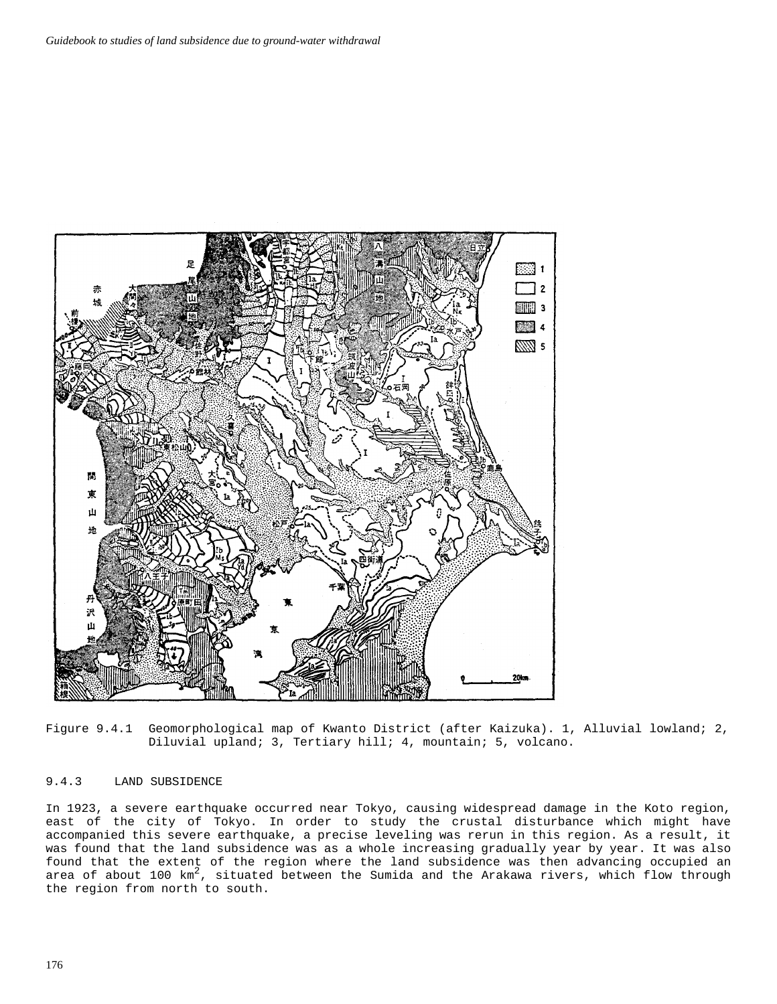

Figure 9.4.1 Geomorphological map of Kwanto District (after Kaizuka). 1, Alluvial lowland; 2, Diluvial upland; 3, Tertiary hill; 4, mountain; 5, volcano.

# 9.4.3 LAND SUBSIDENCE

In 1923, a severe earthquake occurred near Tokyo, causing widespread damage in the Koto region, east of the city of Tokyo. In order to study the crustal disturbance which might have accompanied this severe earthquake, a precise leveling was rerun in this region. As a result, it was found that the land subsidence was as a whole increasing gradually year by year. It was also found that the extent of the region where the land subsidence was then advancing occupied an area of about 100  $km^2$ , situated between the Sumida and the Arakawa rivers, which flow through the region from north to south.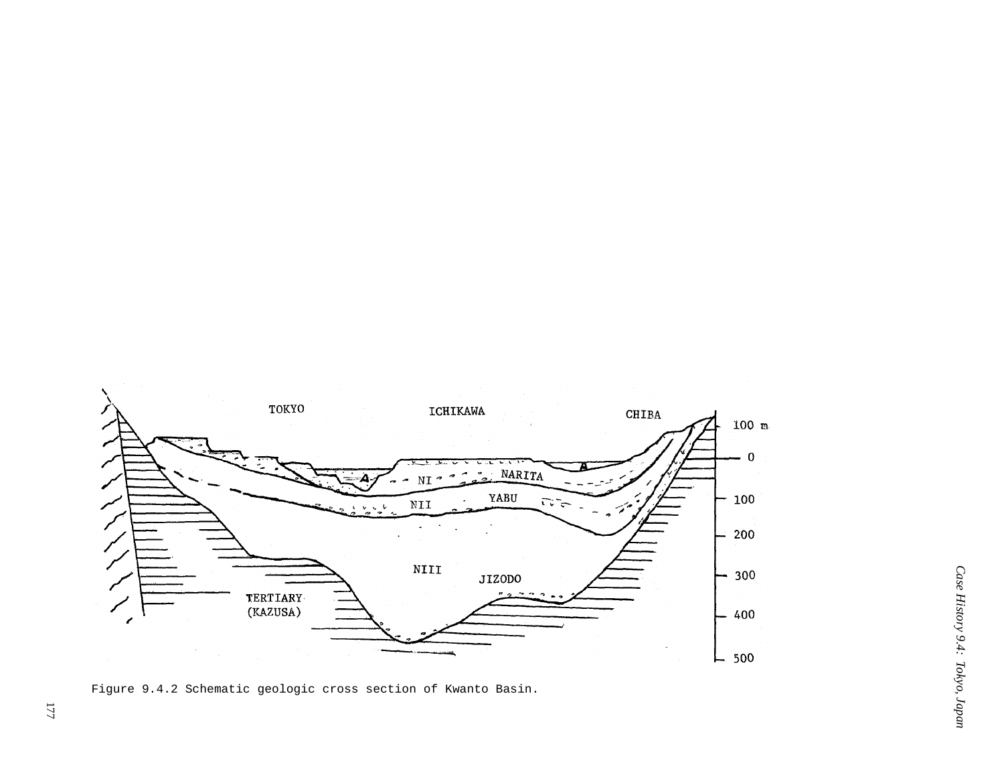

Figure 9.4.2 Schematic geologic cross section of Kwanto Basin.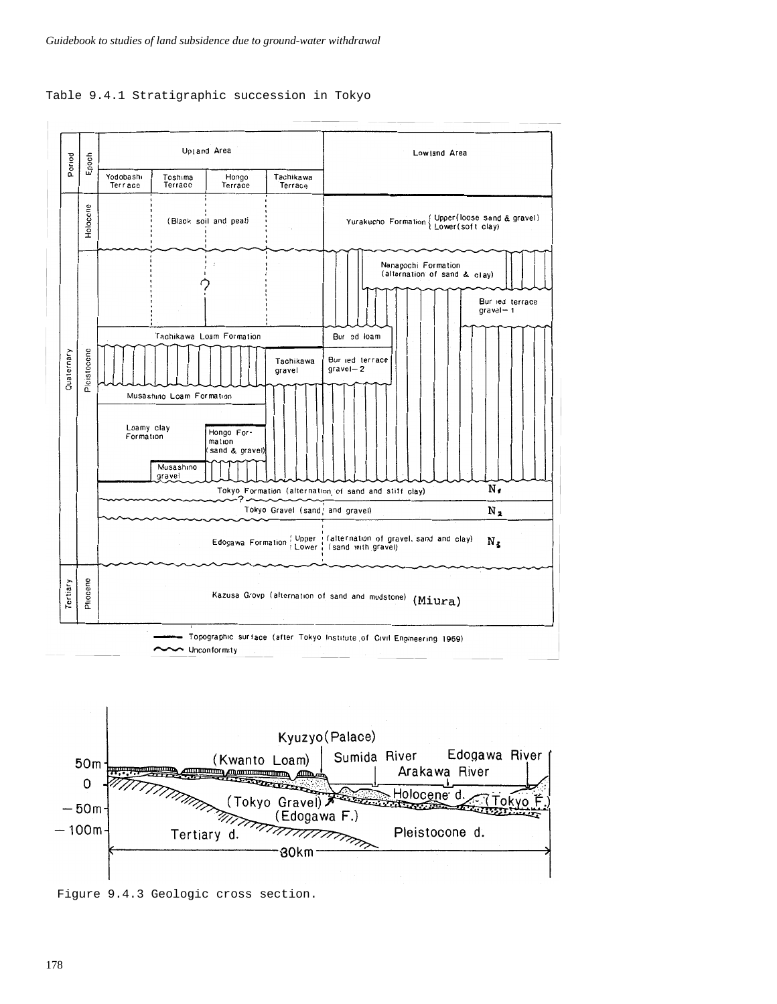





Figure 9.4.3 Geologic cross section.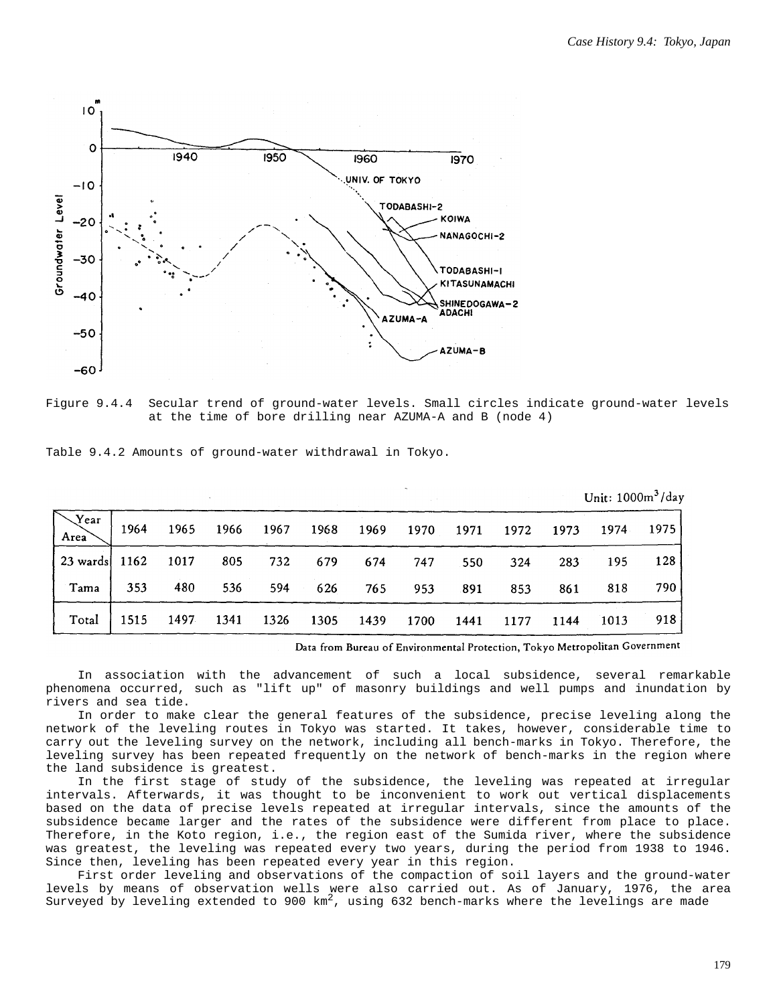

Figure 9.4.4 Secular trend of ground-water levels. Small circles indicate ground-water levels at the time of bore drilling near AZUMA-A and B (node 4)

|                        |      |      |      |      |      |      |      |      |      | Unit: $1000m^3/day$ |      |      |
|------------------------|------|------|------|------|------|------|------|------|------|---------------------|------|------|
| $\sqrt{2}$ ear<br>Area | 1964 | 1965 | 1966 | 1967 | 1968 | 1969 | 1970 | 1971 | 1972 | 1973                | 1974 | 1975 |
| 23 wards   1162        |      | 1017 | 805  | 732  | 679  | 674  | 747  | 550  | 324  | 283                 | 195  | 128  |
| Tama                   | 353  | 480  | 536  | 594  | 626  | 765  | 953  | .891 | 853  | 861                 | 818  | 790  |
| Total                  | 1515 | 1497 | 1341 | 1326 | 1305 | 1439 | 1700 | 1441 | 1177 | 1144                | 1013 | 918  |

Table 9.4.2 Amounts of ground-water withdrawal in Tokyo.

Data from Bureau of Environmental Protection, Tokyo Metropolitan Government

In association with the advancement of such a local subsidence, several remarkable phenomena occurred, such as "lift up" of masonry buildings and well pumps and inundation by rivers and sea tide.

In order to make clear the general features of the subsidence, precise leveling along the network of the leveling routes in Tokyo was started. It takes, however, considerable time to carry out the leveling survey on the network, including all bench-marks in Tokyo. Therefore, the leveling survey has been repeated frequently on the network of bench-marks in the region where the land subsidence is greatest.

In the first stage of study of the subsidence, the leveling was repeated at irregular intervals. Afterwards, it was thought to be inconvenient to work out vertical displacements based on the data of precise levels repeated at irregular intervals, since the amounts of the subsidence became larger and the rates of the subsidence were different from place to place. Therefore, in the Koto region, i.e., the region east of the Sumida river, where the subsidence was greatest, the leveling was repeated every two years, during the period from 1938 to 1946. Since then, leveling has been repeated every year in this region.

First order leveling and observations of the compaction of soil layers and the ground-water levels by means of observation wells were also carried out. As of January, 1976, the area Surveyed by leveling extended to 900  $km^2$ , using 632 bench-marks where the levelings are made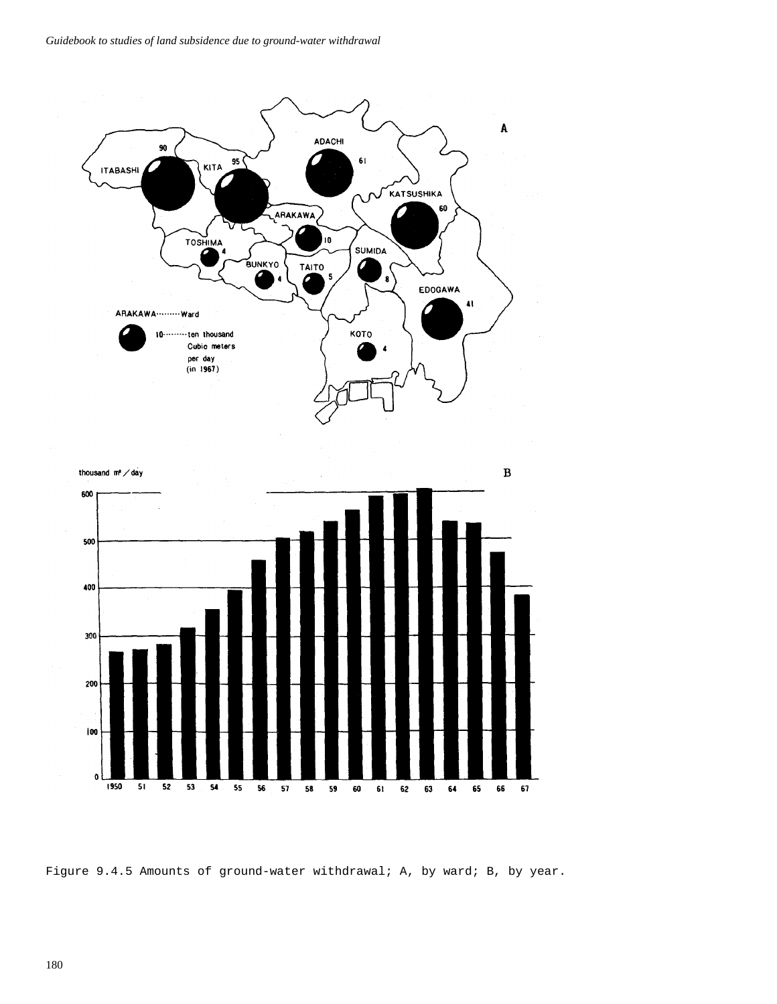



Figure 9.4.5 Amounts of ground-water withdrawal; A, by ward; B, by year.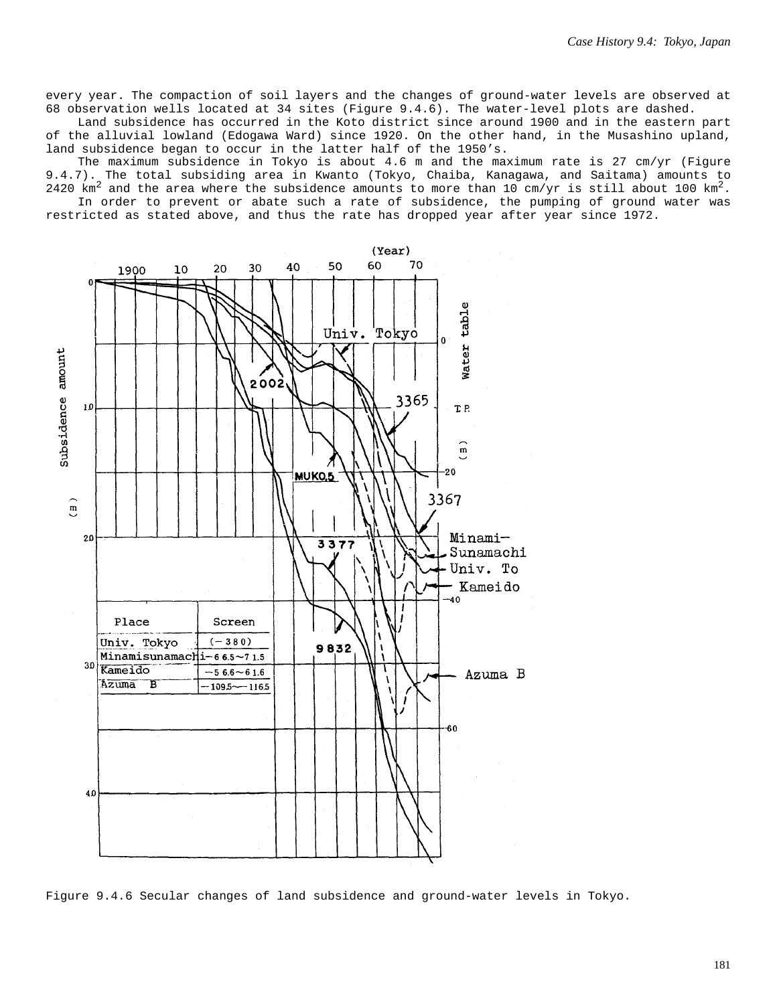every year. The compaction of soil layers and the changes of ground-water levels are observed at 68 observation wells located at 34 sites (Figure 9.4.6). The water-level plots are dashed.

Land subsidence has occurred in the Koto district since around 1900 and in the eastern part of the alluvial lowland (Edogawa Ward) since 1920. On the other hand, in the Musashino upland, land subsidence began to occur in the latter half of the 1950's.

The maximum subsidence in Tokyo is about 4.6 m and the maximum rate is 27 cm/yr (Figure 9.4.7). The total subsiding area in Kwanto (Tokyo, Chaiba, Kanagawa, and Saitama) amounts to 2420 km<sup>2</sup> and the area where the subsidence amounts to more than 10 cm/yr is still about 100 km<sup>2</sup>.

In order to prevent or abate such a rate of subsidence, the pumping of ground water was restricted as stated above, and thus the rate has dropped year after year since 1972.



Figure 9.4.6 Secular changes of land subsidence and ground-water levels in Tokyo.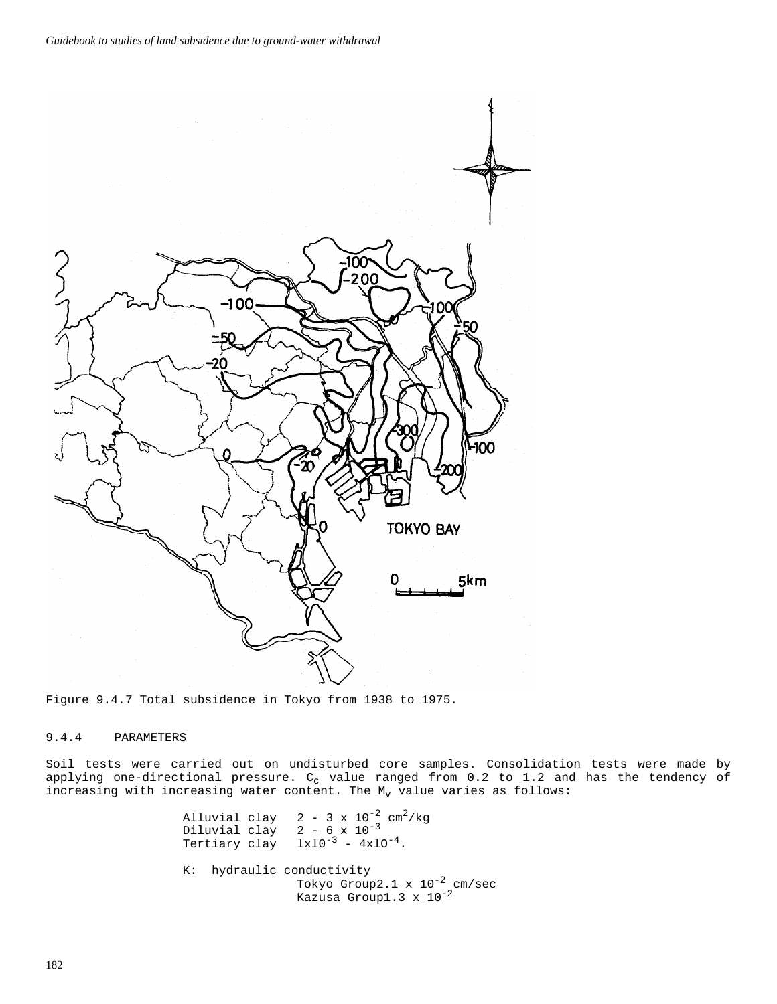

Figure 9.4.7 Total subsidence in Tokyo from 1938 to 1975.

## 9.4.4 PARAMETERS

Soil tests were carried out on undisturbed core samples. Consolidation tests were made by applying one-directional pressure.  $C_c$  value ranged from 0.2 to 1.2 and has the tendency of increasing with increasing water content. The  $M_V$  value varies as follows:

> Alluvial clay  $2 - 3 \times 10^{-2}$  cm<sup>2</sup>/kg<br>Diluvial clay  $2 - 6 \times 10^{-3}$ Diluvial clay<br>Tertiary clay  $1x10^{-3} - 4x10^{-4}.$ K: hydraulic conductivity Tokyo Group2.1 x  $10^{-2}$  cm/sec Kazusa Group1.3  $\times$  10<sup>-2</sup>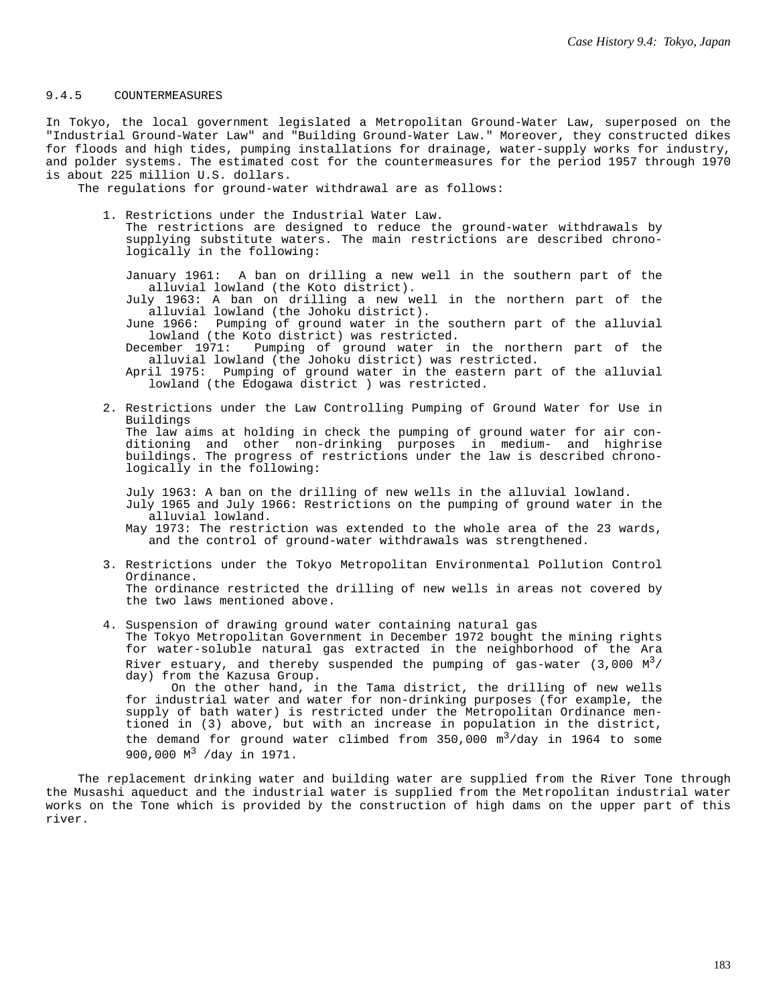#### 9.4.5 COUNTERMEASURES

In Tokyo, the local government legislated a Metropolitan Ground-Water Law, superposed on the "Industrial Ground-Water Law" and "Building Ground-Water Law." Moreover, they constructed dikes for floods and high tides, pumping installations for drainage, water-supply works for industry, and polder systems. The estimated cost for the countermeasures for the period 1957 through 1970 is about 225 million U.S. dollars.

The regulations for ground-water withdrawal are as follows:

1. Restrictions under the Industrial Water Law. The restrictions are designed to reduce the ground-water withdrawals by supplying substitute waters. The main restrictions are described chronologically in the following:

January 1961: A ban on drilling a new well in the southern part of the alluvial lowland (the Koto district).

July 1963: A ban on drilling a new well in the northern part of the alluvial lowland (the Johoku district).

June 1966: Pumping of ground water in the southern part of the alluvial Iowland (the Koto district) was restricted.<br>December 1971: Pumping of ground water in

Pumping of ground water in the northern part of the alluvial lowland (the Johoku district) was restricted.

April 1975: Pumping of ground water in the eastern part of the alluvial lowland (the Edogawa district ) was restricted.

2. Restrictions under the Law Controlling Pumping of Ground Water for Use in Buildings The law aims at holding in check the pumping of ground water for air conditioning and other non-drinking purposes in medium- and highrise buildings. The progress of restrictions under the law is described chronologically in the following:

July 1963: A ban on the drilling of new wells in the alluvial lowland. July 1965 and July 1966: Restrictions on the pumping of ground water in the alluvial lowland.

May 1973: The restriction was extended to the whole area of the 23 wards, and the control of ground-water withdrawals was strengthened.

- 3. Restrictions under the Tokyo Metropolitan Environmental Pollution Control Ordinance. The ordinance restricted the drilling of new wells in areas not covered by the two laws mentioned above.
- 4. Suspension of drawing ground water containing natural gas The Tokyo Metropolitan Government in December 1972 bought the mining rights for water-soluble natural gas extracted in the neighborhood of the Ara River estuary, and thereby suspended the pumping of gas-water  $(3,000 \text{ M}^3)$ day) from the Kazusa Group. On the other hand, in the Tama district, the drilling of new wells

for industrial water and water for non-drinking purposes (for example, the supply of bath water) is restricted under the Metropolitan Ordinance mentioned in (3) above, but with an increase in population in the district, the demand for ground water climbed from  $350,000 \text{ m}^3/\text{day}$  in 1964 to some 900,000 M<sup>3</sup> /day in 1971.

The replacement drinking water and building water are supplied from the River Tone through the Musashi aqueduct and the industrial water is supplied from the Metropolitan industrial water works on the Tone which is provided by the construction of high dams on the upper part of this river.